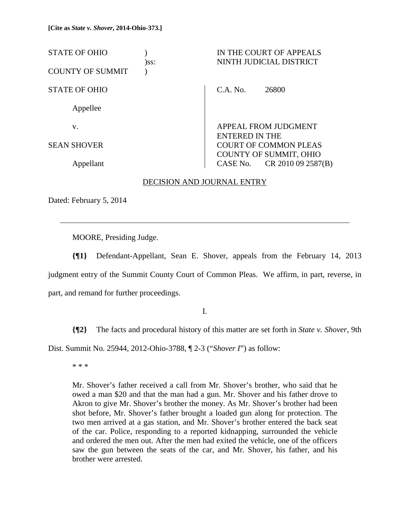| <b>STATE OF OHIO</b><br>)ss: | IN THE COURT OF APPEALS<br>NINTH JUDICIAL DISTRICT            |
|------------------------------|---------------------------------------------------------------|
| <b>COUNTY OF SUMMIT</b>      |                                                               |
| <b>STATE OF OHIO</b>         | C.A. No.<br>26800                                             |
| Appellee                     |                                                               |
| V.                           | <b>APPEAL FROM JUDGMENT</b><br><b>ENTERED IN THE</b>          |
| <b>SEAN SHOVER</b>           | <b>COURT OF COMMON PLEAS</b><br><b>COUNTY OF SUMMIT, OHIO</b> |
| Appellant                    | CR 2010 09 2587(B)<br>CASE No.                                |

# DECISION AND JOURNAL ENTRY

Dated: February 5, 2014

l

MOORE, Presiding Judge.

**{¶1}** Defendant-Appellant, Sean E. Shover, appeals from the February 14, 2013 judgment entry of the Summit County Court of Common Pleas. We affirm, in part, reverse, in part, and remand for further proceedings.

I.

**{¶2}** The facts and procedural history of this matter are set forth in *State v. Shover*, 9th

Dist. Summit No. 25944, 2012-Ohio-3788, ¶ 2-3 ("*Shover I*") as follow:

\* \* \*

Mr. Shover's father received a call from Mr. Shover's brother, who said that he owed a man \$20 and that the man had a gun. Mr. Shover and his father drove to Akron to give Mr. Shover's brother the money. As Mr. Shover's brother had been shot before, Mr. Shover's father brought a loaded gun along for protection. The two men arrived at a gas station, and Mr. Shover's brother entered the back seat of the car. Police, responding to a reported kidnapping, surrounded the vehicle and ordered the men out. After the men had exited the vehicle, one of the officers saw the gun between the seats of the car, and Mr. Shover, his father, and his brother were arrested.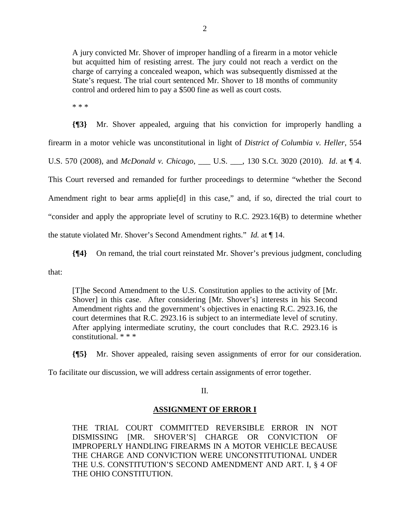A jury convicted Mr. Shover of improper handling of a firearm in a motor vehicle but acquitted him of resisting arrest. The jury could not reach a verdict on the charge of carrying a concealed weapon, which was subsequently dismissed at the State's request. The trial court sentenced Mr. Shover to 18 months of community control and ordered him to pay a \$500 fine as well as court costs.

\* \* \*

**{¶3}** Mr. Shover appealed, arguing that his conviction for improperly handling a firearm in a motor vehicle was unconstitutional in light of *District of Columbia v. Heller*, 554 U.S. 570 (2008), and *McDonald v. Chicago*, \_\_\_ U.S. \_\_\_, 130 S.Ct. 3020 (2010). *Id*. at ¶ 4. This Court reversed and remanded for further proceedings to determine "whether the Second Amendment right to bear arms applie<sup>[d]</sup> in this case," and, if so, directed the trial court to "consider and apply the appropriate level of scrutiny to R.C. 2923.16(B) to determine whether the statute violated Mr. Shover's Second Amendment rights." *Id.* at ¶ 14.

**{¶4}** On remand, the trial court reinstated Mr. Shover's previous judgment, concluding that:

[T]he Second Amendment to the U.S. Constitution applies to the activity of [Mr. Shover] in this case. After considering [Mr. Shover's] interests in his Second Amendment rights and the government's objectives in enacting R.C. 2923.16, the court determines that R.C. 2923.16 is subject to an intermediate level of scrutiny. After applying intermediate scrutiny, the court concludes that R.C. 2923.16 is constitutional. \* \* \*

**{¶5}** Mr. Shover appealed, raising seven assignments of error for our consideration.

To facilitate our discussion, we will address certain assignments of error together.

II.

# **ASSIGNMENT OF ERROR I**

THE TRIAL COURT COMMITTED REVERSIBLE ERROR IN NOT DISMISSING [MR. SHOVER'S] CHARGE OR CONVICTION OF IMPROPERLY HANDLING FIREARMS IN A MOTOR VEHICLE BECAUSE THE CHARGE AND CONVICTION WERE UNCONSTITUTIONAL UNDER THE U.S. CONSTITUTION'S SECOND AMENDMENT AND ART. I, § 4 OF THE OHIO CONSTITUTION.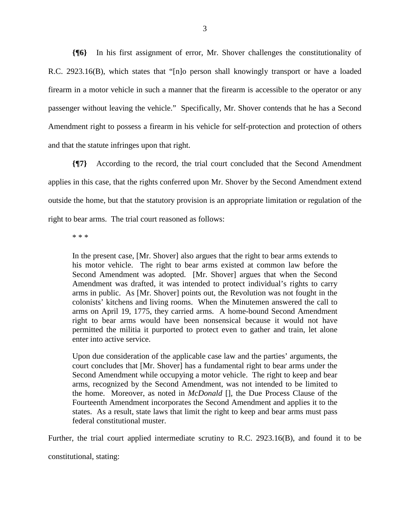**{¶6}** In his first assignment of error, Mr. Shover challenges the constitutionality of R.C. 2923.16(B), which states that "[n]o person shall knowingly transport or have a loaded firearm in a motor vehicle in such a manner that the firearm is accessible to the operator or any passenger without leaving the vehicle." Specifically, Mr. Shover contends that he has a Second Amendment right to possess a firearm in his vehicle for self-protection and protection of others and that the statute infringes upon that right.

**{¶7}** According to the record, the trial court concluded that the Second Amendment applies in this case, that the rights conferred upon Mr. Shover by the Second Amendment extend outside the home, but that the statutory provision is an appropriate limitation or regulation of the right to bear arms. The trial court reasoned as follows:

\* \* \*

In the present case, [Mr. Shover] also argues that the right to bear arms extends to his motor vehicle. The right to bear arms existed at common law before the Second Amendment was adopted. [Mr. Shover] argues that when the Second Amendment was drafted, it was intended to protect individual's rights to carry arms in public. As [Mr. Shover] points out, the Revolution was not fought in the colonists' kitchens and living rooms. When the Minutemen answered the call to arms on April 19, 1775, they carried arms. A home-bound Second Amendment right to bear arms would have been nonsensical because it would not have permitted the militia it purported to protect even to gather and train, let alone enter into active service.

Upon due consideration of the applicable case law and the parties' arguments, the court concludes that [Mr. Shover] has a fundamental right to bear arms under the Second Amendment while occupying a motor vehicle. The right to keep and bear arms, recognized by the Second Amendment, was not intended to be limited to the home. Moreover, as noted in *McDonald* [], the Due Process Clause of the Fourteenth Amendment incorporates the Second Amendment and applies it to the states. As a result, state laws that limit the right to keep and bear arms must pass federal constitutional muster.

Further, the trial court applied intermediate scrutiny to R.C. 2923.16(B), and found it to be

constitutional, stating: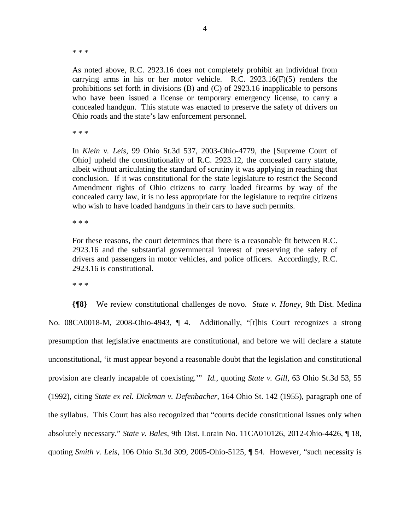\* \* \*

As noted above, R.C. 2923.16 does not completely prohibit an individual from carrying arms in his or her motor vehicle. R.C.  $2923.16(F)(5)$  renders the prohibitions set forth in divisions (B) and (C) of 2923.16 inapplicable to persons who have been issued a license or temporary emergency license, to carry a concealed handgun. This statute was enacted to preserve the safety of drivers on Ohio roads and the state's law enforcement personnel.

\* \* \*

In *Klein v. Leis*, 99 Ohio St.3d 537, 2003-Ohio-4779, the [Supreme Court of Ohio] upheld the constitutionality of R.C. 2923.12, the concealed carry statute, albeit without articulating the standard of scrutiny it was applying in reaching that conclusion. If it was constitutional for the state legislature to restrict the Second Amendment rights of Ohio citizens to carry loaded firearms by way of the concealed carry law, it is no less appropriate for the legislature to require citizens who wish to have loaded handguns in their cars to have such permits.

\* \* \*

For these reasons, the court determines that there is a reasonable fit between R.C. 2923.16 and the substantial governmental interest of preserving the safety of drivers and passengers in motor vehicles, and police officers. Accordingly, R.C. 2923.16 is constitutional.

\* \* \*

**{¶8}** We review constitutional challenges de novo. *State v. Honey*, 9th Dist. Medina No. 08CA0018-M, 2008-Ohio-4943, ¶ 4. Additionally, "[t]his Court recognizes a strong presumption that legislative enactments are constitutional, and before we will declare a statute unconstitutional, 'it must appear beyond a reasonable doubt that the legislation and constitutional provision are clearly incapable of coexisting.'" *Id.*, quoting *State v. Gill*, 63 Ohio St.3d 53, 55 (1992), citing *State ex rel. Dickman v. Defenbacher*, 164 Ohio St. 142 (1955), paragraph one of the syllabus. This Court has also recognized that "courts decide constitutional issues only when absolutely necessary." *State v. Bales*, 9th Dist. Lorain No. 11CA010126, 2012-Ohio-4426, ¶ 18, quoting *Smith v. Leis*, 106 Ohio St.3d 309, 2005-Ohio-5125, ¶ 54. However, "such necessity is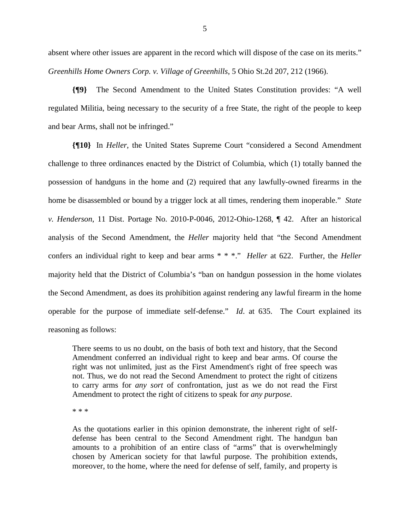absent where other issues are apparent in the record which will dispose of the case on its merits." *Greenhills Home Owners Corp. v. Village of Greenhills*, 5 Ohio St.2d 207, 212 (1966).

**{¶9}** The Second Amendment to the United States Constitution provides: "A well regulated Militia, being necessary to the security of a free State, the right of the people to keep and bear Arms, shall not be infringed."

**{¶10}** In *Heller*, the United States Supreme Court "considered a Second Amendment challenge to three ordinances enacted by the District of Columbia, which (1) totally banned the possession of handguns in the home and (2) required that any lawfully-owned firearms in the home be disassembled or bound by a trigger lock at all times, rendering them inoperable." *State v. Henderson*, 11 Dist. Portage No. 2010-P-0046, 2012-Ohio-1268, ¶ 42. After an historical analysis of the Second Amendment, the *Heller* majority held that "the Second Amendment confers an individual right to keep and bear arms \* \* \*." *Heller* at 622. Further, the *Heller* majority held that the District of Columbia's "ban on handgun possession in the home violates the Second Amendment, as does its prohibition against rendering any lawful firearm in the home operable for the purpose of immediate self-defense." *Id*. at 635. The Court explained its reasoning as follows:

There seems to us no doubt, on the basis of both text and history, that the Second Amendment conferred an individual right to keep and bear arms. Of course the right was not unlimited, just as the First Amendment's right of free speech was not. Thus, we do not read the Second Amendment to protect the right of citizens to carry arms for *any sort* of confrontation, just as we do not read the First Amendment to protect the right of citizens to speak for *any purpose*.

\* \* \*

As the quotations earlier in this opinion demonstrate, the inherent right of selfdefense has been central to the Second Amendment right. The handgun ban amounts to a prohibition of an entire class of "arms" that is overwhelmingly chosen by American society for that lawful purpose. The prohibition extends, moreover, to the home, where the need for defense of self, family, and property is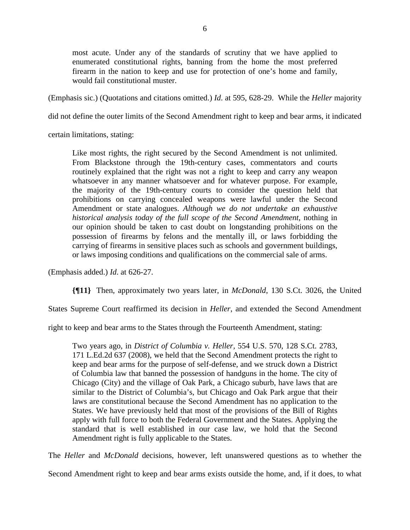most acute. Under any of the standards of scrutiny that we have applied to enumerated constitutional rights, banning from the home the most preferred firearm in the nation to keep and use for protection of one's home and family, would fail constitutional muster.

(Emphasis sic.) (Quotations and citations omitted.) *Id*. at 595, 628-29. While the *Heller* majority

did not define the outer limits of the Second Amendment right to keep and bear arms, it indicated

certain limitations, stating:

Like most rights, the right secured by the Second Amendment is not unlimited. From Blackstone through the 19th-century cases, commentators and courts routinely explained that the right was not a right to keep and carry any weapon whatsoever in any manner whatsoever and for whatever purpose. For example, the majority of the 19th-century courts to consider the question held that prohibitions on carrying concealed weapons were lawful under the Second Amendment or state analogues. *Although we do not undertake an exhaustive historical analysis today of the full scope of the Second Amendment*, nothing in our opinion should be taken to cast doubt on longstanding prohibitions on the possession of firearms by felons and the mentally ill, or laws forbidding the carrying of firearms in sensitive places such as schools and government buildings, or laws imposing conditions and qualifications on the commercial sale of arms.

(Emphasis added.) *Id*. at 626-27.

**{¶11}** Then, approximately two years later, in *McDonald*, 130 S.Ct. 3026, the United

States Supreme Court reaffirmed its decision in *Heller*, and extended the Second Amendment

right to keep and bear arms to the States through the Fourteenth Amendment, stating:

Two years ago, in *District of Columbia v. Heller,* 554 U.S. 570, 128 S.Ct. 2783, 171 L.Ed.2d 637 (2008), we held that the Second Amendment protects the right to keep and bear arms for the purpose of self-defense, and we struck down a District of Columbia law that banned the possession of handguns in the home. The city of Chicago (City) and the village of Oak Park, a Chicago suburb, have laws that are similar to the District of Columbia's, but Chicago and Oak Park argue that their laws are constitutional because the Second Amendment has no application to the States. We have previously held that most of the provisions of the Bill of Rights apply with full force to both the Federal Government and the States. Applying the standard that is well established in our case law, we hold that the Second Amendment right is fully applicable to the States.

The *Heller* and *McDonald* decisions, however, left unanswered questions as to whether the

Second Amendment right to keep and bear arms exists outside the home, and, if it does, to what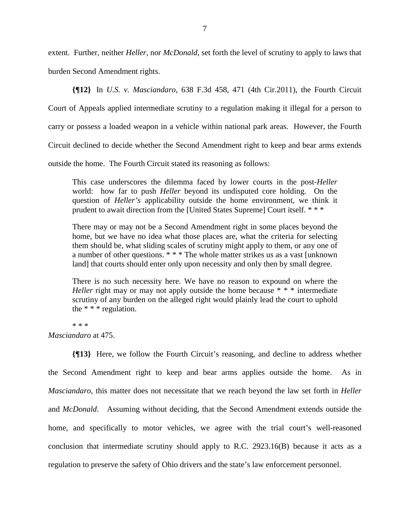extent. Further, neither *Heller*, nor *McDonald*, set forth the level of scrutiny to apply to laws that burden Second Amendment rights.

**{¶12}** In *U.S. v. Masciandaro*, 638 F.3d 458, 471 (4th Cir.2011), the Fourth Circuit

Court of Appeals applied intermediate scrutiny to a regulation making it illegal for a person to

carry or possess a loaded weapon in a vehicle within national park areas. However, the Fourth

Circuit declined to decide whether the Second Amendment right to keep and bear arms extends

outside the home. The Fourth Circuit stated its reasoning as follows:

This case underscores the dilemma faced by lower courts in the post-*Heller* world: how far to push *Heller* beyond its undisputed core holding. On the question of *Heller's* applicability outside the home environment, we think it prudent to await direction from the [United States Supreme] Court itself. \* \* \*

There may or may not be a Second Amendment right in some places beyond the home, but we have no idea what those places are, what the criteria for selecting them should be, what sliding scales of scrutiny might apply to them, or any one of a number of other questions. \* \* \* The whole matter strikes us as a vast [unknown land] that courts should enter only upon necessity and only then by small degree.

There is no such necessity here. We have no reason to expound on where the *Heller* right may or may not apply outside the home because \* \* \* intermediate scrutiny of any burden on the alleged right would plainly lead the court to uphold the \* \* \* regulation.

\* \* \*

*Masciandaro* at 475.

**{¶13}** Here, we follow the Fourth Circuit's reasoning, and decline to address whether the Second Amendment right to keep and bear arms applies outside the home. As in *Masciandaro*, this matter does not necessitate that we reach beyond the law set forth in *Heller* and *McDonald*. Assuming without deciding, that the Second Amendment extends outside the home, and specifically to motor vehicles, we agree with the trial court's well-reasoned conclusion that intermediate scrutiny should apply to R.C. 2923.16(B) because it acts as a regulation to preserve the safety of Ohio drivers and the state's law enforcement personnel.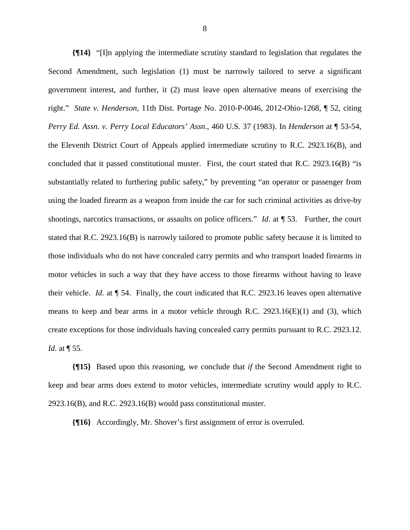**{¶14}** "[I]n applying the intermediate scrutiny standard to legislation that regulates the Second Amendment, such legislation (1) must be narrowly tailored to serve a significant government interest, and further, it (2) must leave open alternative means of exercising the right." *State v. Henderson*, 11th Dist. Portage No. 2010-P-0046, 2012-Ohio-1268, ¶ 52, citing *Perry Ed. Assn. v. Perry Local Educators' Assn*., 460 U.S. 37 (1983). In *Henderson* at ¶ 53-54, the Eleventh District Court of Appeals applied intermediate scrutiny to R.C. 2923.16(B), and concluded that it passed constitutional muster. First, the court stated that R.C. 2923.16(B) "is substantially related to furthering public safety," by preventing "an operator or passenger from using the loaded firearm as a weapon from inside the car for such criminal activities as drive-by shootings, narcotics transactions, or assaults on police officers." *Id.* at  $\P$  53. Further, the court stated that R.C. 2923.16(B) is narrowly tailored to promote public safety because it is limited to those individuals who do not have concealed carry permits and who transport loaded firearms in motor vehicles in such a way that they have access to those firearms without having to leave their vehicle. *Id*. at ¶ 54. Finally, the court indicated that R.C. 2923.16 leaves open alternative means to keep and bear arms in a motor vehicle through R.C.  $2923.16(E)(1)$  and (3), which create exceptions for those individuals having concealed carry permits pursuant to R.C. 2923.12. *Id*. at ¶ 55.

**{¶15}** Based upon this reasoning, we conclude that *if* the Second Amendment right to keep and bear arms does extend to motor vehicles, intermediate scrutiny would apply to R.C. 2923.16(B), and R.C. 2923.16(B) would pass constitutional muster.

**{¶16}** Accordingly, Mr. Shover's first assignment of error is overruled.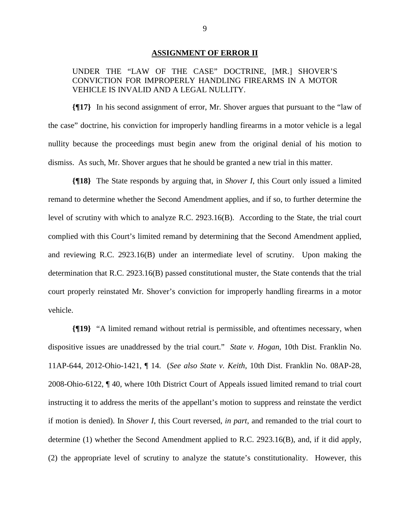#### **ASSIGNMENT OF ERROR II**

# UNDER THE "LAW OF THE CASE" DOCTRINE, [MR.] SHOVER'S CONVICTION FOR IMPROPERLY HANDLING FIREARMS IN A MOTOR VEHICLE IS INVALID AND A LEGAL NULLITY.

**{¶17}** In his second assignment of error, Mr. Shover argues that pursuant to the "law of the case" doctrine, his conviction for improperly handling firearms in a motor vehicle is a legal nullity because the proceedings must begin anew from the original denial of his motion to dismiss. As such, Mr. Shover argues that he should be granted a new trial in this matter.

**{¶18}** The State responds by arguing that, in *Shover I*, this Court only issued a limited remand to determine whether the Second Amendment applies, and if so, to further determine the level of scrutiny with which to analyze R.C. 2923.16(B). According to the State, the trial court complied with this Court's limited remand by determining that the Second Amendment applied, and reviewing R.C. 2923.16(B) under an intermediate level of scrutiny. Upon making the determination that R.C. 2923.16(B) passed constitutional muster, the State contends that the trial court properly reinstated Mr. Shover's conviction for improperly handling firearms in a motor vehicle.

**{¶19}** "A limited remand without retrial is permissible, and oftentimes necessary, when dispositive issues are unaddressed by the trial court." *State v. Hogan*, 10th Dist. Franklin No. 11AP-644, 2012-Ohio-1421, ¶ 14. (*See also State v. Keith*, 10th Dist. Franklin No. 08AP-28, 2008-Ohio-6122, ¶ 40, where 10th District Court of Appeals issued limited remand to trial court instructing it to address the merits of the appellant's motion to suppress and reinstate the verdict if motion is denied). In *Shover I*, this Court reversed, *in part*, and remanded to the trial court to determine (1) whether the Second Amendment applied to R.C. 2923.16(B), and, if it did apply, (2) the appropriate level of scrutiny to analyze the statute's constitutionality. However, this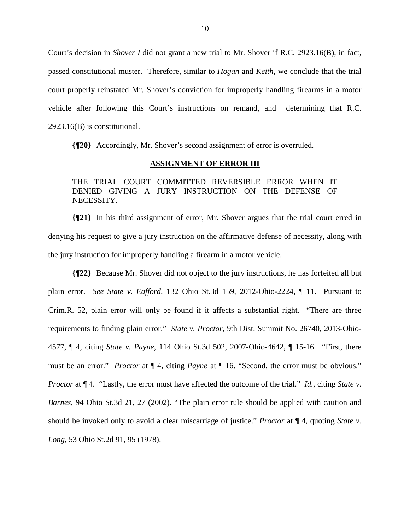Court's decision in *Shover I* did not grant a new trial to Mr. Shover if R.C. 2923.16(B), in fact, passed constitutional muster. Therefore, similar to *Hogan* and *Keith*, we conclude that the trial court properly reinstated Mr. Shover's conviction for improperly handling firearms in a motor vehicle after following this Court's instructions on remand, and determining that R.C. 2923.16(B) is constitutional.

**{¶20}** Accordingly, Mr. Shover's second assignment of error is overruled.

#### **ASSIGNMENT OF ERROR III**

THE TRIAL COURT COMMITTED REVERSIBLE ERROR WHEN IT DENIED GIVING A JURY INSTRUCTION ON THE DEFENSE OF NECESSITY.

**{¶21}** In his third assignment of error, Mr. Shover argues that the trial court erred in denying his request to give a jury instruction on the affirmative defense of necessity, along with the jury instruction for improperly handling a firearm in a motor vehicle.

**{¶22}** Because Mr. Shover did not object to the jury instructions, he has forfeited all but plain error. *See State v. Eafford,* 132 Ohio St.3d 159, 2012-Ohio-2224, ¶ 11. Pursuant to Crim.R. 52, plain error will only be found if it affects a substantial right. "There are three requirements to finding plain error." *State v. Proctor*, 9th Dist. Summit No. 26740, 2013-Ohio-4577, ¶ 4, citing *State v. Payne,* 114 Ohio St.3d 502, 2007-Ohio-4642, ¶ 15-16. "First, there must be an error." *Proctor* at ¶ 4, citing *Payne* at ¶ 16. "Second, the error must be obvious." *Proctor* at  $\P$  4. "Lastly, the error must have affected the outcome of the trial." *Id.*, citing *State v. Barnes,* 94 Ohio St.3d 21, 27 (2002). "The plain error rule should be applied with caution and should be invoked only to avoid a clear miscarriage of justice." *Proctor* at ¶ 4, quoting *State v. Long,* 53 Ohio St.2d 91, 95 (1978).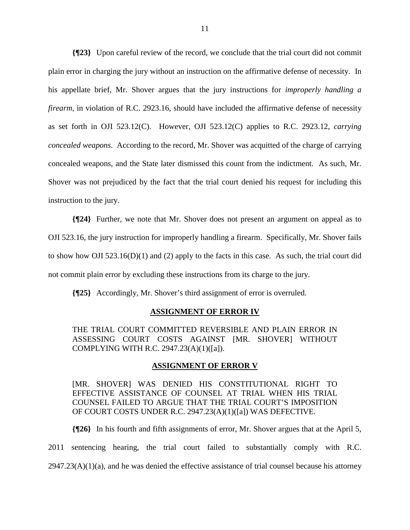**{¶23}** Upon careful review of the record, we conclude that the trial court did not commit plain error in charging the jury without an instruction on the affirmative defense of necessity. In his appellate brief, Mr. Shover argues that the jury instructions for *improperly handling a firearm*, in violation of R.C. 2923.16, should have included the affirmative defense of necessity as set forth in OJI 523.12(C). However, OJI 523.12(C) applies to R.C. 2923.12, *carrying concealed weapons*. According to the record, Mr. Shover was acquitted of the charge of carrying concealed weapons, and the State later dismissed this count from the indictment. As such, Mr. Shover was not prejudiced by the fact that the trial court denied his request for including this instruction to the jury.

**{¶24}** Further, we note that Mr. Shover does not present an argument on appeal as to OJI 523.16, the jury instruction for improperly handling a firearm. Specifically, Mr. Shover fails to show how OJI 523.16(D)(1) and (2) apply to the facts in this case. As such, the trial court did not commit plain error by excluding these instructions from its charge to the jury.

**{¶25}** Accordingly, Mr. Shover's third assignment of error is overruled.

#### **ASSIGNMENT OF ERROR IV**

THE TRIAL COURT COMMITTED REVERSIBLE AND PLAIN ERROR IN ASSESSING COURT COSTS AGAINST [MR. SHOVER] WITHOUT COMPLYING WITH R.C. 2947.23(A)(1)([a]).

#### **ASSIGNMENT OF ERROR V**

[MR. SHOVER] WAS DENIED HIS CONSTITUTIONAL RIGHT TO EFFECTIVE ASSISTANCE OF COUNSEL AT TRIAL WHEN HIS TRIAL COUNSEL FAILED TO ARGUE THAT THE TRIAL COURT'S IMPOSITION OF COURT COSTS UNDER R.C. 2947.23(A)(1)([a]) WAS DEFECTIVE.

**{¶26}** In his fourth and fifth assignments of error, Mr. Shover argues that at the April 5, 2011 sentencing hearing, the trial court failed to substantially comply with R.C.  $2947.23(A)(1)(a)$ , and he was denied the effective assistance of trial counsel because his attorney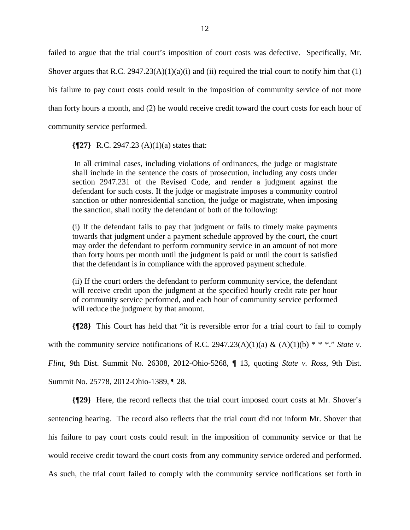failed to argue that the trial court's imposition of court costs was defective. Specifically, Mr. Shover argues that R.C.  $2947.23(A)(1)(a)(i)$  and (ii) required the trial court to notify him that (1) his failure to pay court costs could result in the imposition of community service of not more than forty hours a month, and (2) he would receive credit toward the court costs for each hour of community service performed.

**{¶27}** R.C. 2947.23 (A)(1)(a) states that:

 In all criminal cases, including violations of ordinances, the judge or magistrate shall include in the sentence the costs of prosecution, including any costs under section 2947.231 of the Revised Code, and render a judgment against the defendant for such costs. If the judge or magistrate imposes a community control sanction or other nonresidential sanction, the judge or magistrate, when imposing the sanction, shall notify the defendant of both of the following:

(i) If the defendant fails to pay that judgment or fails to timely make payments towards that judgment under a payment schedule approved by the court, the court may order the defendant to perform community service in an amount of not more than forty hours per month until the judgment is paid or until the court is satisfied that the defendant is in compliance with the approved payment schedule.

(ii) If the court orders the defendant to perform community service, the defendant will receive credit upon the judgment at the specified hourly credit rate per hour of community service performed, and each hour of community service performed will reduce the judgment by that amount.

**{¶28}** This Court has held that "it is reversible error for a trial court to fail to comply with the community service notifications of R.C. 2947.23(A)(1)(a) & (A)(1)(b) \* \* \*." *State v. Flint*, 9th Dist. Summit No. 26308, 2012-Ohio-5268, ¶ 13, quoting *State v. Ross,* 9th Dist. Summit No. 25778, 2012-Ohio-1389, ¶ 28.

**{¶29}** Here, the record reflects that the trial court imposed court costs at Mr. Shover's sentencing hearing. The record also reflects that the trial court did not inform Mr. Shover that his failure to pay court costs could result in the imposition of community service or that he would receive credit toward the court costs from any community service ordered and performed. As such, the trial court failed to comply with the community service notifications set forth in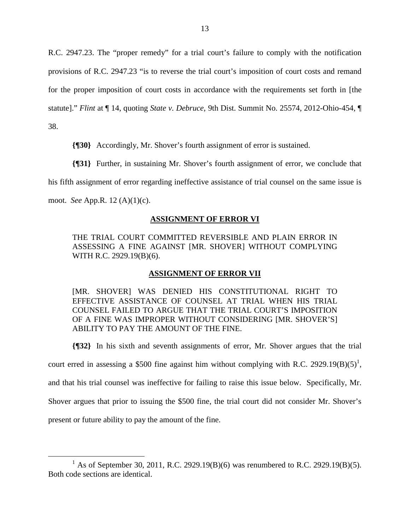R.C. 2947.23. The "proper remedy" for a trial court's failure to comply with the notification provisions of R.C. 2947.23 "is to reverse the trial court's imposition of court costs and remand for the proper imposition of court costs in accordance with the requirements set forth in [the statute]." *Flint* at ¶ 14, quoting *State v. Debruce,* 9th Dist. Summit No. 25574, 2012-Ohio-454, ¶ 38.

**{¶30}** Accordingly, Mr. Shover's fourth assignment of error is sustained.

**{¶31}** Further, in sustaining Mr. Shover's fourth assignment of error, we conclude that

his fifth assignment of error regarding ineffective assistance of trial counsel on the same issue is

moot. *See* App.R. 12 (A)(1)(c).

# **ASSIGNMENT OF ERROR VI**

THE TRIAL COURT COMMITTED REVERSIBLE AND PLAIN ERROR IN ASSESSING A FINE AGAINST [MR. SHOVER] WITHOUT COMPLYING WITH R.C. 2929.19(B)(6).

#### **ASSIGNMENT OF ERROR VII**

[MR. SHOVER] WAS DENIED HIS CONSTITUTIONAL RIGHT TO EFFECTIVE ASSISTANCE OF COUNSEL AT TRIAL WHEN HIS TRIAL COUNSEL FAILED TO ARGUE THAT THE TRIAL COURT'S IMPOSITION OF A FINE WAS IMPROPER WITHOUT CONSIDERING [MR. SHOVER'S] ABILITY TO PAY THE AMOUNT OF THE FINE.

**{¶32}** In his sixth and seventh assignments of error, Mr. Shover argues that the trial

court erred in assessing a \$500 fine against him without complying with R.C. 2929.19 $(B)(5)^1$ ,

and that his trial counsel was ineffective for failing to raise this issue below. Specifically, Mr.

Shover argues that prior to issuing the \$500 fine, the trial court did not consider Mr. Shover's

present or future ability to pay the amount of the fine.

 $\frac{1}{1}$ <sup>1</sup> As of September 30, 2011, R.C. 2929.19(B)(6) was renumbered to R.C. 2929.19(B)(5). Both code sections are identical.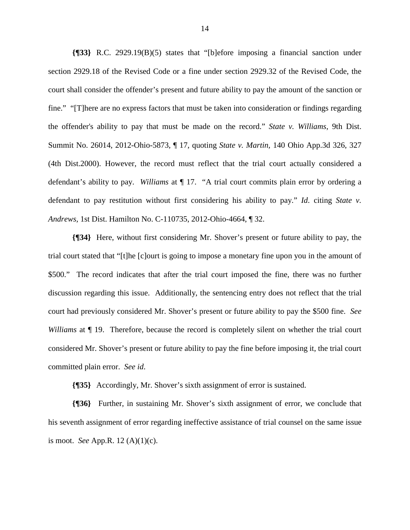**{¶33}** R.C. 2929.19(B)(5) states that "[b]efore imposing a financial sanction under section 2929.18 of the Revised Code or a fine under section 2929.32 of the Revised Code, the court shall consider the offender's present and future ability to pay the amount of the sanction or fine." "[T]here are no express factors that must be taken into consideration or findings regarding the offender's ability to pay that must be made on the record." *State v. Williams*, 9th Dist. Summit No. 26014, 2012-Ohio-5873, ¶ 17, quoting *State v. Martin,* 140 Ohio App.3d 326, 327 (4th Dist.2000). However, the record must reflect that the trial court actually considered a defendant's ability to pay. *Williams* at ¶ 17. "A trial court commits plain error by ordering a defendant to pay restitution without first considering his ability to pay." *Id*. citing *State v. Andrews,* 1st Dist. Hamilton No. C-110735, 2012-Ohio-4664, ¶ 32.

**{¶34}** Here, without first considering Mr. Shover's present or future ability to pay, the trial court stated that "[t]he [c]ourt is going to impose a monetary fine upon you in the amount of \$500." The record indicates that after the trial court imposed the fine, there was no further discussion regarding this issue. Additionally, the sentencing entry does not reflect that the trial court had previously considered Mr. Shover's present or future ability to pay the \$500 fine. *See Williams* at  $\P$  19. Therefore, because the record is completely silent on whether the trial court considered Mr. Shover's present or future ability to pay the fine before imposing it, the trial court committed plain error. *See id*.

**{¶35}** Accordingly, Mr. Shover's sixth assignment of error is sustained.

**{¶36}** Further, in sustaining Mr. Shover's sixth assignment of error, we conclude that his seventh assignment of error regarding ineffective assistance of trial counsel on the same issue is moot. *See* App.R. 12 (A)(1)(c).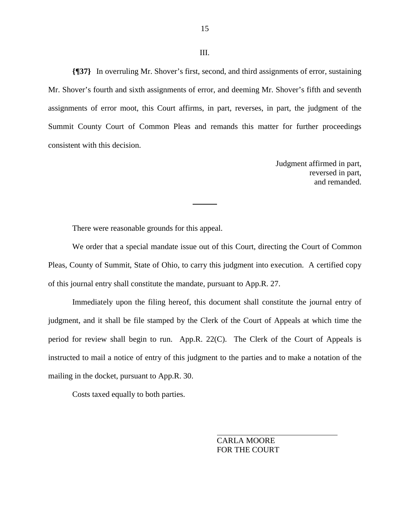#### III.

15

**{¶37}** In overruling Mr. Shover's first, second, and third assignments of error, sustaining Mr. Shover's fourth and sixth assignments of error, and deeming Mr. Shover's fifth and seventh assignments of error moot, this Court affirms, in part, reverses, in part, the judgment of the Summit County Court of Common Pleas and remands this matter for further proceedings consistent with this decision.

> Judgment affirmed in part, reversed in part, and remanded.

There were reasonable grounds for this appeal.

 We order that a special mandate issue out of this Court, directing the Court of Common Pleas, County of Summit, State of Ohio, to carry this judgment into execution. A certified copy of this journal entry shall constitute the mandate, pursuant to App.R. 27.

 Immediately upon the filing hereof, this document shall constitute the journal entry of judgment, and it shall be file stamped by the Clerk of the Court of Appeals at which time the period for review shall begin to run. App.R. 22(C). The Clerk of the Court of Appeals is instructed to mail a notice of entry of this judgment to the parties and to make a notation of the mailing in the docket, pursuant to App.R. 30.

Costs taxed equally to both parties.

 CARLA MOORE FOR THE COURT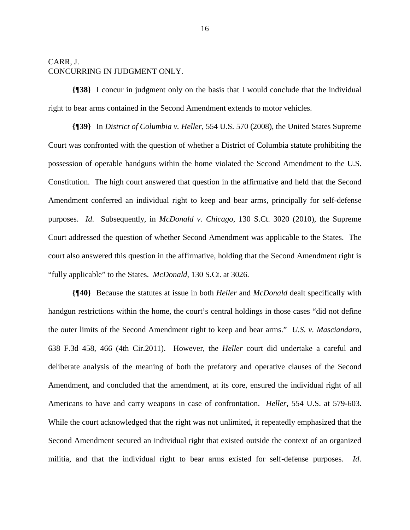# CARR, J. CONCURRING IN JUDGMENT ONLY.

**{¶38}** I concur in judgment only on the basis that I would conclude that the individual right to bear arms contained in the Second Amendment extends to motor vehicles.

**{¶39}** In *District of Columbia v. Heller*, 554 U.S. 570 (2008), the United States Supreme Court was confronted with the question of whether a District of Columbia statute prohibiting the possession of operable handguns within the home violated the Second Amendment to the U.S. Constitution. The high court answered that question in the affirmative and held that the Second Amendment conferred an individual right to keep and bear arms, principally for self-defense purposes. *Id*. Subsequently, in *McDonald v. Chicago*, 130 S.Ct. 3020 (2010), the Supreme Court addressed the question of whether Second Amendment was applicable to the States. The court also answered this question in the affirmative, holding that the Second Amendment right is "fully applicable" to the States. *McDonald*, 130 S.Ct. at 3026.

**{¶40}** Because the statutes at issue in both *Heller* and *McDonald* dealt specifically with handgun restrictions within the home, the court's central holdings in those cases "did not define the outer limits of the Second Amendment right to keep and bear arms." *U.S. v. Masciandaro*, 638 F.3d 458, 466 (4th Cir.2011). However, the *Heller* court did undertake a careful and deliberate analysis of the meaning of both the prefatory and operative clauses of the Second Amendment, and concluded that the amendment, at its core, ensured the individual right of all Americans to have and carry weapons in case of confrontation. *Heller*, 554 U.S. at 579-603. While the court acknowledged that the right was not unlimited, it repeatedly emphasized that the Second Amendment secured an individual right that existed outside the context of an organized militia, and that the individual right to bear arms existed for self-defense purposes. *Id*.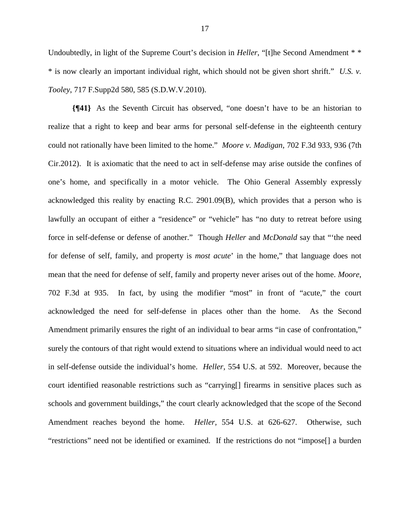Undoubtedly, in light of the Supreme Court's decision in *Heller*, "[t]he Second Amendment \* \* \* is now clearly an important individual right, which should not be given short shrift." *U.S. v. Tooley*, 717 F.Supp2d 580, 585 (S.D.W.V.2010).

**{¶41}** As the Seventh Circuit has observed, "one doesn't have to be an historian to realize that a right to keep and bear arms for personal self-defense in the eighteenth century could not rationally have been limited to the home." *Moore v. Madigan*, 702 F.3d 933, 936 (7th Cir.2012). It is axiomatic that the need to act in self-defense may arise outside the confines of one's home, and specifically in a motor vehicle. The Ohio General Assembly expressly acknowledged this reality by enacting R.C. 2901.09(B), which provides that a person who is lawfully an occupant of either a "residence" or "vehicle" has "no duty to retreat before using force in self-defense or defense of another." Though *Heller* and *McDonald* say that "'the need for defense of self, family, and property is *most acute*' in the home," that language does not mean that the need for defense of self, family and property never arises out of the home. *Moore*, 702 F.3d at 935. In fact, by using the modifier "most" in front of "acute," the court acknowledged the need for self-defense in places other than the home. As the Second Amendment primarily ensures the right of an individual to bear arms "in case of confrontation," surely the contours of that right would extend to situations where an individual would need to act in self-defense outside the individual's home. *Heller,* 554 U.S. at 592. Moreover, because the court identified reasonable restrictions such as "carrying[] firearms in sensitive places such as schools and government buildings," the court clearly acknowledged that the scope of the Second Amendment reaches beyond the home. *Heller,* 554 U.S. at 626-627. Otherwise, such "restrictions" need not be identified or examined. If the restrictions do not "impose[] a burden